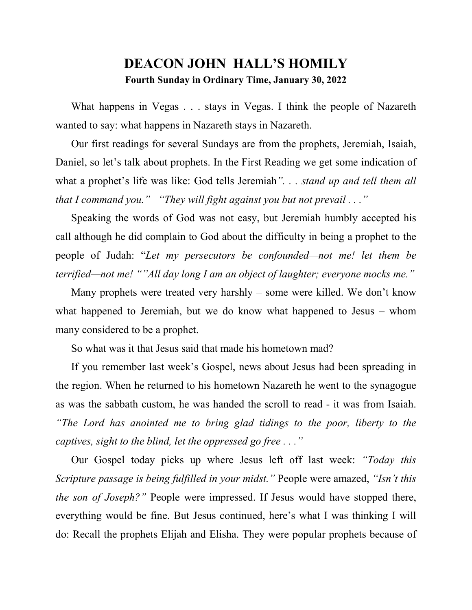## **DEACON JOHN HALL'S HOMILY Fourth Sunday in Ordinary Time, January 30, 2022**

What happens in Vegas . . . stays in Vegas. I think the people of Nazareth wanted to say: what happens in Nazareth stays in Nazareth.

 Our first readings for several Sundays are from the prophets, Jeremiah, Isaiah, Daniel, so let's talk about prophets. In the First Reading we get some indication of what a prophet's life was like: God tells Jeremiah*". . . stand up and tell them all that I command you." "They will fight against you but not prevail . . ."*

 Speaking the words of God was not easy, but Jeremiah humbly accepted his call although he did complain to God about the difficulty in being a prophet to the people of Judah: "*Let my persecutors be confounded—not me! let them be terrified—not me! ""All day long I am an object of laughter; everyone mocks me."* 

 Many prophets were treated very harshly – some were killed. We don't know what happened to Jeremiah, but we do know what happened to Jesus – whom many considered to be a prophet.

So what was it that Jesus said that made his hometown mad?

 If you remember last week's Gospel, news about Jesus had been spreading in the region. When he returned to his hometown Nazareth he went to the synagogue as was the sabbath custom, he was handed the scroll to read - it was from Isaiah. *"The Lord has anointed me to bring glad tidings to the poor, liberty to the captives, sight to the blind, let the oppressed go free . . ."*

 Our Gospel today picks up where Jesus left off last week: *"Today this Scripture passage is being fulfilled in your midst."* People were amazed, *"Isn't this the son of Joseph?"* People were impressed. If Jesus would have stopped there, everything would be fine. But Jesus continued, here's what I was thinking I will do: Recall the prophets Elijah and Elisha. They were popular prophets because of